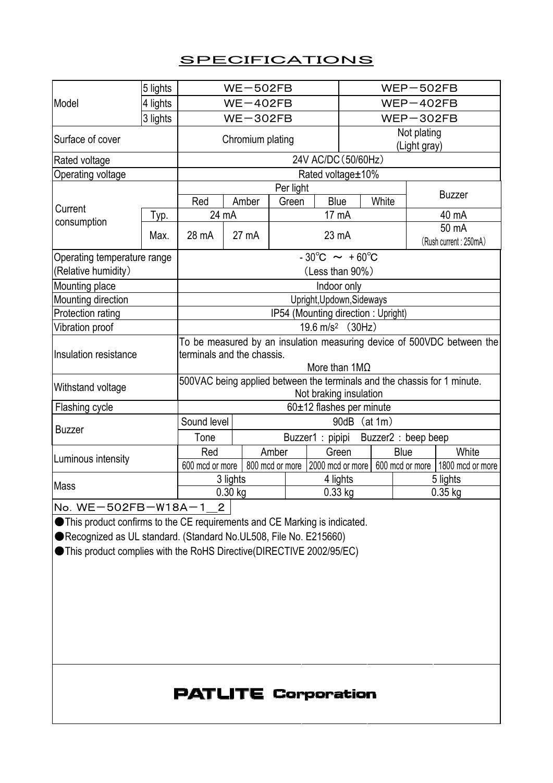## **SPECIFICATIONS**

| Model                                                                     | 5 lights                           | $WE-502FB$                                                                                                                   |          |       |       |           | $WEP-502FB$                 |  |                                |                                                                   |  |
|---------------------------------------------------------------------------|------------------------------------|------------------------------------------------------------------------------------------------------------------------------|----------|-------|-------|-----------|-----------------------------|--|--------------------------------|-------------------------------------------------------------------|--|
|                                                                           | 4 lights                           | $WE-402FB$                                                                                                                   |          |       |       |           | $WEP-402FB$                 |  |                                |                                                                   |  |
|                                                                           | 3 lights                           | $WE-302FB$                                                                                                                   |          |       |       |           | $WEP-302FB$                 |  |                                |                                                                   |  |
| Surface of cover                                                          |                                    | Chromium plating                                                                                                             |          |       |       |           | Not plating<br>(Light gray) |  |                                |                                                                   |  |
| Rated voltage                                                             |                                    | 24V AC/DC (50/60Hz)                                                                                                          |          |       |       |           |                             |  |                                |                                                                   |  |
| Operating voltage                                                         |                                    | Rated voltage ± 10%                                                                                                          |          |       |       |           |                             |  |                                |                                                                   |  |
|                                                                           |                                    | Per light                                                                                                                    |          |       |       |           |                             |  |                                | <b>Buzzer</b>                                                     |  |
| Current<br>consumption                                                    |                                    | Red                                                                                                                          |          | Amber | Green | Blue      | White                       |  |                                |                                                                   |  |
|                                                                           | Typ.                               | 24 mA                                                                                                                        |          |       |       | 17 mA     |                             |  |                                | 40 mA                                                             |  |
|                                                                           | Max.                               | 28 mA                                                                                                                        | 27 mA    |       | 23 mA |           |                             |  | 50 mA<br>(Rush current: 250mA) |                                                                   |  |
| Operating temperature range                                               |                                    | $-30^{\circ}C \sim +60^{\circ}C$                                                                                             |          |       |       |           |                             |  |                                |                                                                   |  |
| (Relative humidity)                                                       |                                    | (Less than 90%)                                                                                                              |          |       |       |           |                             |  |                                |                                                                   |  |
| Mounting place                                                            |                                    | Indoor only                                                                                                                  |          |       |       |           |                             |  |                                |                                                                   |  |
| Mounting direction                                                        |                                    | Upright, Updown, Sideways                                                                                                    |          |       |       |           |                             |  |                                |                                                                   |  |
| Protection rating                                                         | IP54 (Mounting direction: Upright) |                                                                                                                              |          |       |       |           |                             |  |                                |                                                                   |  |
| Vibration proof                                                           | 19.6 m/s <sup>2</sup> (30Hz)       |                                                                                                                              |          |       |       |           |                             |  |                                |                                                                   |  |
| Insulation resistance                                                     |                                    | To be measured by an insulation measuring device of 500VDC between the<br>terminals and the chassis.<br>More than $1M\Omega$ |          |       |       |           |                             |  |                                |                                                                   |  |
| Withstand voltage                                                         |                                    | 500VAC being applied between the terminals and the chassis for 1 minute.<br>Not braking insulation                           |          |       |       |           |                             |  |                                |                                                                   |  |
| Flashing cycle                                                            |                                    | 60±12 flashes per minute                                                                                                     |          |       |       |           |                             |  |                                |                                                                   |  |
| <b>Buzzer</b>                                                             |                                    | Sound level<br>90dB<br>(at 1m)                                                                                               |          |       |       |           |                             |  |                                |                                                                   |  |
|                                                                           |                                    | Tone<br>Buzzer1 : pipipi<br>Buzzer2 : beep beep                                                                              |          |       |       |           |                             |  |                                |                                                                   |  |
| Luminous intensity                                                        |                                    | Red                                                                                                                          |          | Amber |       |           | Green                       |  | Blue                           | White                                                             |  |
|                                                                           |                                    | 600 mcd or more                                                                                                              |          |       |       |           |                             |  |                                | 800 mcd or more 2000 mcd or more 600 mcd or more 1800 mcd or more |  |
| Mass                                                                      |                                    | 3 lights                                                                                                                     | 4 lights |       |       |           |                             |  | 5 lights                       |                                                                   |  |
|                                                                           |                                    | $0.30$ kg                                                                                                                    |          |       |       | $0.33$ kg |                             |  | $0.35$ kg                      |                                                                   |  |
| No. WE-502FB-W18A-1 2                                                     |                                    |                                                                                                                              |          |       |       |           |                             |  |                                |                                                                   |  |
| This product confirms to the CE requirements and CE Marking is indicated. |                                    |                                                                                                                              |          |       |       |           |                             |  |                                |                                                                   |  |
| Recognized as UL standard. (Standard No.UL508, File No. E215660)          |                                    |                                                                                                                              |          |       |       |           |                             |  |                                |                                                                   |  |
| ● This product complies with the RoHS Directive(DIRECTIVE 2002/95/EC)     |                                    |                                                                                                                              |          |       |       |           |                             |  |                                |                                                                   |  |
|                                                                           |                                    |                                                                                                                              |          |       |       |           |                             |  |                                |                                                                   |  |
|                                                                           |                                    |                                                                                                                              |          |       |       |           |                             |  |                                |                                                                   |  |
|                                                                           |                                    |                                                                                                                              |          |       |       |           |                             |  |                                |                                                                   |  |
|                                                                           |                                    |                                                                                                                              |          |       |       |           |                             |  |                                |                                                                   |  |
|                                                                           |                                    |                                                                                                                              |          |       |       |           |                             |  |                                |                                                                   |  |
|                                                                           |                                    |                                                                                                                              |          |       |       |           |                             |  |                                |                                                                   |  |
|                                                                           |                                    |                                                                                                                              |          |       |       |           |                             |  |                                |                                                                   |  |

## **PATLITE Corporation**